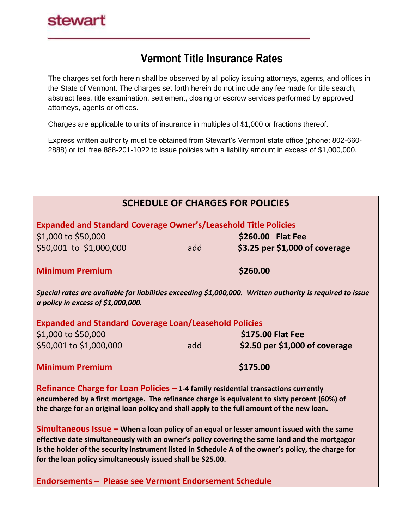## **Vermont Title Insurance Rates**

The charges set forth herein shall be observed by all policy issuing attorneys, agents, and offices in the State of Vermont. The charges set forth herein do not include any fee made for title search, abstract fees, title examination, settlement, closing or escrow services performed by approved attorneys, agents or offices.

Charges are applicable to units of insurance in multiples of \$1,000 or fractions thereof.

Express written authority must be obtained from Stewart's Vermont state office (phone: 802-660- 2888) or toll free 888-201-1022 to issue policies with a liability amount in excess of \$1,000,000.

| <b>SCHEDULE OF CHARGES FOR POLICIES</b>                                                                                                                                                                                                                                                                                                                              |     |                                |  |  |  |  |
|----------------------------------------------------------------------------------------------------------------------------------------------------------------------------------------------------------------------------------------------------------------------------------------------------------------------------------------------------------------------|-----|--------------------------------|--|--|--|--|
| <b>Expanded and Standard Coverage Owner's/Leasehold Title Policies</b>                                                                                                                                                                                                                                                                                               |     |                                |  |  |  |  |
| \$1,000 to \$50,000                                                                                                                                                                                                                                                                                                                                                  |     | \$260.00 Flat Fee              |  |  |  |  |
| \$50,001 to \$1,000,000                                                                                                                                                                                                                                                                                                                                              | add | \$3.25 per \$1,000 of coverage |  |  |  |  |
| <b>Minimum Premium</b>                                                                                                                                                                                                                                                                                                                                               |     | \$260.00                       |  |  |  |  |
| Special rates are available for liabilities exceeding \$1,000,000. Written authority is required to issue<br>a policy in excess of $$1,000,000$ .                                                                                                                                                                                                                    |     |                                |  |  |  |  |
| <b>Expanded and Standard Coverage Loan/Leasehold Policies</b>                                                                                                                                                                                                                                                                                                        |     |                                |  |  |  |  |
| \$1,000 to \$50,000                                                                                                                                                                                                                                                                                                                                                  |     | \$175.00 Flat Fee              |  |  |  |  |
| \$50,001 to \$1,000,000                                                                                                                                                                                                                                                                                                                                              | add | \$2.50 per \$1,000 of coverage |  |  |  |  |
| <b>Minimum Premium</b>                                                                                                                                                                                                                                                                                                                                               |     | \$175.00                       |  |  |  |  |
| Refinance Charge for Loan Policies $-$ 1-4 family residential transactions currently<br>encumbered by a first mortgage. The refinance charge is equivalent to sixty percent (60%) of<br>the charge for an original loan policy and shall apply to the full amount of the new loan.                                                                                   |     |                                |  |  |  |  |
| $Simultaneous$ issue $-$ When a loan policy of an equal or lesser amount issued with the same<br>effective date simultaneously with an owner's policy covering the same land and the mortgagor<br>is the holder of the security instrument listed in Schedule A of the owner's policy, the charge for<br>for the loan policy simultaneously issued shall be \$25.00. |     |                                |  |  |  |  |
| <b>Endorsements - Please see Vermont Endorsement Schedule</b>                                                                                                                                                                                                                                                                                                        |     |                                |  |  |  |  |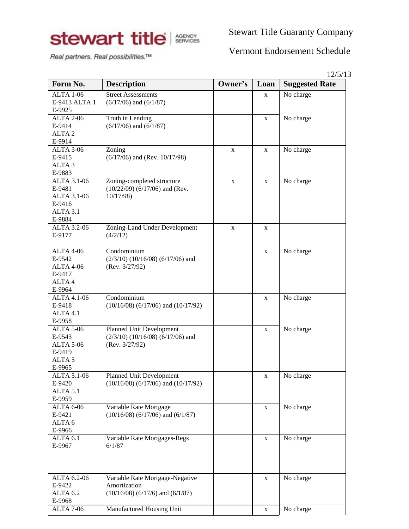

Stewart Title Guaranty Company

Real partners. Real possibilities.™

## Vermont Endorsement Schedule

|                             |                                           |             |              | 12/5/13               |  |
|-----------------------------|-------------------------------------------|-------------|--------------|-----------------------|--|
| Form No.                    | <b>Description</b>                        | Owner's     | Loan         | <b>Suggested Rate</b> |  |
| <b>ALTA 1-06</b>            | <b>Street Assessments</b>                 |             | $\mathbf X$  | No charge             |  |
| E-9413 ALTA 1               | $(6/17/06)$ and $(6/1/87)$                |             |              |                       |  |
| E-9925                      |                                           |             |              |                       |  |
| <b>ALTA 2-06</b>            | Truth in Lending                          |             | $\mathbf X$  | No charge             |  |
| E-9414                      | $(6/17/06)$ and $(6/1/87)$                |             |              |                       |  |
| ALTA <sub>2</sub>           |                                           |             |              |                       |  |
| E-9914                      |                                           |             |              |                       |  |
| <b>ALTA 3-06</b>            | Zoning                                    | X           | $\mathbf X$  | No charge             |  |
| E-9415<br>ALTA <sub>3</sub> | $(6/17/06)$ and (Rev. 10/17/98)           |             |              |                       |  |
| E-9883                      |                                           |             |              |                       |  |
| ALTA 3.1-06                 | Zoning-completed structure                |             |              | No charge             |  |
| E-9481                      | $(10/22/09)$ $(6/17/06)$ and (Rev.        | $\mathbf X$ | $\mathbf X$  |                       |  |
| ALTA 3.1-06                 | 10/17/98)                                 |             |              |                       |  |
| E-9416                      |                                           |             |              |                       |  |
| ALTA 3.1                    |                                           |             |              |                       |  |
| E-9884                      |                                           |             |              |                       |  |
| ALTA 3.2-06                 | Zoning-Land Under Development             |             |              |                       |  |
| E-9177                      | (4/2/12)                                  | $\mathbf X$ | X            |                       |  |
|                             |                                           |             |              |                       |  |
| <b>ALTA 4-06</b>            | Condominium                               |             | $\mathbf{X}$ | No charge             |  |
| E-9542                      | $(2/3/10)$ $(10/16/08)$ $(6/17/06)$ and   |             |              |                       |  |
| ALTA 4-06                   | (Rev. 3/27/92)                            |             |              |                       |  |
| E-9417                      |                                           |             |              |                       |  |
| ALTA4                       |                                           |             |              |                       |  |
| E-9964                      |                                           |             |              |                       |  |
| ALTA 4.1-06                 | Condominium                               |             | $\mathbf X$  | No charge             |  |
| E-9418                      | $(10/16/08)$ $(6/17/06)$ and $(10/17/92)$ |             |              |                       |  |
| ALTA 4.1                    |                                           |             |              |                       |  |
| E-9958                      |                                           |             |              |                       |  |
| <b>ALTA 5-06</b>            | Planned Unit Development                  |             | X            | No charge             |  |
| E-9543                      | $(2/3/10)$ $(10/16/08)$ $(6/17/06)$ and   |             |              |                       |  |
| <b>ALTA 5-06</b>            | (Rev. 3/27/92)                            |             |              |                       |  |
| E-9419                      |                                           |             |              |                       |  |
| ALTA <sub>5</sub>           |                                           |             |              |                       |  |
| E-9965                      |                                           |             |              |                       |  |
| ALTA 5.1-06                 | Planned Unit Development                  |             | X            | No charge             |  |
| E-9420                      | $(10/16/08)$ $(6/17/06)$ and $(10/17/92)$ |             |              |                       |  |
| ALTA 5.1                    |                                           |             |              |                       |  |
| E-9959                      |                                           |             |              |                       |  |
| <b>ALTA 6-06</b>            | Variable Rate Mortgage                    |             | $\mathbf X$  | No charge             |  |
| E-9421                      | $(10/16/08)$ $(6/17/06)$ and $(6/1/87)$   |             |              |                       |  |
| ALTA <sub>6</sub>           |                                           |             |              |                       |  |
| E-9966                      |                                           |             |              |                       |  |
| ALTA <sub>6.1</sub>         | Variable Rate Mortgages-Regs              |             | $\mathbf X$  | No charge             |  |
| E-9967                      | 6/1/87                                    |             |              |                       |  |
|                             |                                           |             |              |                       |  |
| ALTA 6.2-06                 | Variable Rate Mortgage-Negative           |             | $\mathbf X$  | No charge             |  |
| E-9422                      | Amortization                              |             |              |                       |  |
| ALTA <sub>6.2</sub>         | $(10/16/08)$ $(6/17/6)$ and $(6/1/87)$    |             |              |                       |  |
| E-9968                      |                                           |             |              |                       |  |
| <b>ALTA 7-06</b>            | Manufactured Housing Unit                 |             | $\mathbf X$  | No charge             |  |
|                             |                                           |             |              |                       |  |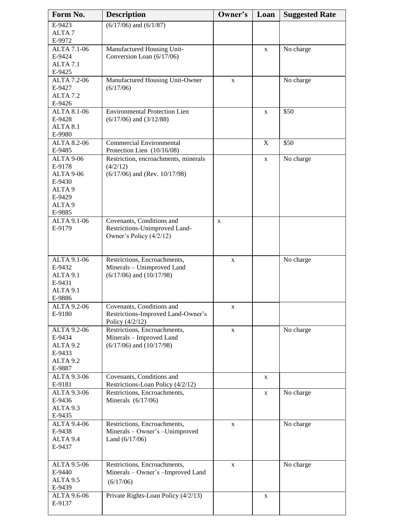| Form No.                      | <b>Description</b>                                              | Owner's     | Loan        | <b>Suggested Rate</b> |
|-------------------------------|-----------------------------------------------------------------|-------------|-------------|-----------------------|
| E-9423                        | $(6/17/06)$ and $(6/1/87)$                                      |             |             |                       |
| ALTA <sub>7</sub>             |                                                                 |             |             |                       |
| E-9972                        |                                                                 |             |             |                       |
| ALTA 7.1-06                   | Manufactured Housing Unit-                                      |             | X           | No charge             |
| E-9424                        | Conversion Loan (6/17/06)                                       |             |             |                       |
| ALTA <sub>7.1</sub><br>E-9425 |                                                                 |             |             |                       |
| ALTA 7.2-06                   | Manufactured Housing Unit-Owner                                 | $\mathbf X$ |             | No charge             |
| E-9427                        | (6/17/06)                                                       |             |             |                       |
| ALTA <sub>7.2</sub>           |                                                                 |             |             |                       |
| E-9426                        |                                                                 |             |             |                       |
| ALTA $8.1 - 06$               | <b>Environmental Protection Lien</b>                            |             | X           | $\overline{$}50$      |
| E-9428<br>ALTA 8.1            | $(6/17/06)$ and $(3/12/88)$                                     |             |             |                       |
| E-9980                        |                                                                 |             |             |                       |
| <b>ALTA 8.2-06</b>            | <b>Commercial Environmental</b>                                 |             | $\mathbf X$ | \$50                  |
| E-9485                        | Protection Lien (10/16/08)                                      |             |             |                       |
| ALTA 9-06                     | Restriction, encroachments, minerals                            |             | X           | No charge             |
| E-9178                        | (4/2/12)                                                        |             |             |                       |
| ALTA 9-06                     | $(6/17/06)$ and (Rev. 10/17/98)                                 |             |             |                       |
| E-9430<br>ALTA <sub>9</sub>   |                                                                 |             |             |                       |
| E-9429                        |                                                                 |             |             |                       |
| ALTA <sub>9</sub>             |                                                                 |             |             |                       |
| E-9885                        |                                                                 |             |             |                       |
| <b>ALTA 9.1-06</b>            | Covenants, Conditions and                                       | $\mathbf X$ |             |                       |
| E-9179                        | Restrictions-Unimproved Land-                                   |             |             |                       |
|                               | Owner's Policy $(4/2/12)$                                       |             |             |                       |
|                               |                                                                 |             |             |                       |
| ALTA 9.1-06                   | Restrictions, Encroachments,                                    | $\mathbf X$ |             | No charge             |
| E-9432                        | Minerals - Unimproved Land                                      |             |             |                       |
| ALTA 9.1                      | $(6/17/06)$ and $(10/17/98)$                                    |             |             |                       |
| E-9431                        |                                                                 |             |             |                       |
| ALTA 9.1                      |                                                                 |             |             |                       |
| E-9886                        |                                                                 |             |             |                       |
| ALTA 9.2-06<br>E-9180         | Covenants, Conditions and<br>Restrictions-Improved Land-Owner's | X           |             |                       |
|                               | Policy (4/2/12)                                                 |             |             |                       |
| <b>ALTA 9.2-06</b>            | Restrictions, Encroachments,                                    | $\mathbf X$ |             | No charge             |
| E-9434                        | Minerals - Improved Land                                        |             |             |                       |
| ALTA <sub>9.2</sub>           | $(6/17/06)$ and $(10/17/98)$                                    |             |             |                       |
| E-9433                        |                                                                 |             |             |                       |
| ALTA 9.2                      |                                                                 |             |             |                       |
| E-9887                        |                                                                 |             |             |                       |
| ALTA 9.3-06<br>E-9181         | Covenants, Conditions and<br>Restrictions-Loan Policy (4/2/12)  |             | X           |                       |
| ALTA 9.3-06                   | Restrictions, Encroachments,                                    |             | X           | No charge             |
| E-9436                        | Minerals $(6/17/06)$                                            |             |             |                       |
| ALTA 9.3                      |                                                                 |             |             |                       |
| E-9435                        |                                                                 |             |             |                       |
| ALTA 9.4-06                   | Restrictions, Encroachments,                                    | $\mathbf X$ |             | No charge             |
| E-9438                        | Minerals - Owner's - Unimproved                                 |             |             |                       |
| ALTA 9.4                      | Land $(6/17/06)$                                                |             |             |                       |
| E-9437                        |                                                                 |             |             |                       |
| ALTA 9.5-06                   | Restrictions, Encroachments,                                    |             |             | No charge             |
| E-9440                        | Minerals - Owner's -Improved Land                               | X           |             |                       |
| ALTA 9.5                      | (6/17/06)                                                       |             |             |                       |
| E-9439                        |                                                                 |             |             |                       |
| ALTA 9.6-06                   | Private Rights-Loan Policy (4/2/13)                             |             | X           |                       |
| E-9137                        |                                                                 |             |             |                       |
|                               |                                                                 |             |             |                       |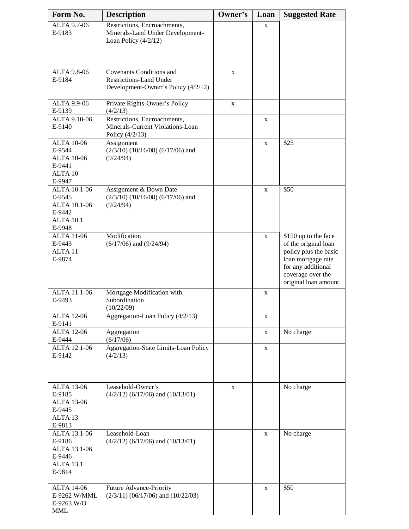| Form No.                                                                                   | <b>Description</b>                                                                                | Owner's | Loan        | <b>Suggested Rate</b>                                                                                                                                           |
|--------------------------------------------------------------------------------------------|---------------------------------------------------------------------------------------------------|---------|-------------|-----------------------------------------------------------------------------------------------------------------------------------------------------------------|
| ALTA 9.7-06<br>E-9183                                                                      | Restrictions, Encroachments,<br>Minerals-Land Under Development-<br>Loan Policy $(4/2/12)$        |         | X           |                                                                                                                                                                 |
| <b>ALTA 9.8-06</b><br>E-9184                                                               | Covenants Conditions and<br><b>Restrictions-Land Under</b><br>Development-Owner's Policy (4/2/12) | X       |             |                                                                                                                                                                 |
| <b>ALTA 9.9-06</b><br>E-9139                                                               | Private Rights-Owner's Policy<br>(4/2/13)                                                         | X       |             |                                                                                                                                                                 |
| ALTA 9.10-06<br>E-9140                                                                     | Restrictions, Encroachments,<br>Minerals-Current Violations-Loan<br>Policy $(4/2/13)$             |         | X           |                                                                                                                                                                 |
| <b>ALTA 10-06</b><br>E-9544<br><b>ALTA 10-06</b><br>E-9441<br>ALTA 10<br>E-9947            | Assignment<br>$(2/3/10)$ $(10/16/08)$ $(6/17/06)$ and<br>(9/24/94)                                |         | $\mathbf X$ | \$25                                                                                                                                                            |
| ALTA 10.1-06<br>E-9545<br>ALTA 10.1-06<br>E-9442<br><b>ALTA 10.1</b><br>E-9948             | Assignment & Down Date<br>$(2/3/10)$ $(10/16/08)$ $(6/17/06)$ and<br>(9/24/94)                    |         | X           | \$50                                                                                                                                                            |
| <b>ALTA 11-06</b><br>E-9443<br>ALTA <sub>11</sub><br>E-9874                                | Modification<br>$(6/17/06)$ and $(9/24/94)$                                                       |         | $\mathbf X$ | \$150 up to the face<br>of the original loan<br>policy plus the basic<br>loan mortgage rate<br>for any additional<br>coverage over the<br>original loan amount. |
| ALTA 11.1-06<br>E-9493                                                                     | Mortgage Modification with<br>Subordination<br>(10/22/09)                                         |         | $\mathbf X$ |                                                                                                                                                                 |
| <b>ALTA 12-06</b><br>E-9141                                                                | Aggregation-Loan Policy (4/2/13)                                                                  |         | X           |                                                                                                                                                                 |
| <b>ALTA 12-06</b><br>E-9444                                                                | Aggregation<br>(6/17/06)                                                                          |         | $\mathbf X$ | No charge                                                                                                                                                       |
| ALTA 12.1-06<br>E-9142                                                                     | <b>Aggregation-State Limits-Loan Policy</b><br>(4/2/13)                                           |         | $\mathbf X$ |                                                                                                                                                                 |
| <b>ALTA 13-06</b><br>E-9185<br><b>ALTA 13-06</b><br>E-9445<br>ALTA <sub>13</sub><br>E-9813 | Leasehold-Owner's<br>$(4/2/12)$ (6/17/06) and (10/13/01)                                          | X       |             | No charge                                                                                                                                                       |
| ALTA 13.1-06<br>E-9186<br>ALTA 13.1-06<br>E-9446<br><b>ALTA 13.1</b><br>E-9814             | Leasehold-Loan<br>$(4/2/12)$ (6/17/06) and (10/13/01)                                             |         | $\mathbf X$ | No charge                                                                                                                                                       |
| <b>ALTA 14-06</b><br>E-9262 W/MML<br>E-9263 W/O<br><b>MML</b>                              | Future Advance-Priority<br>$(2/3/11)$ (06/17/06) and (10/22/03)                                   |         | $\mathbf X$ | \$50                                                                                                                                                            |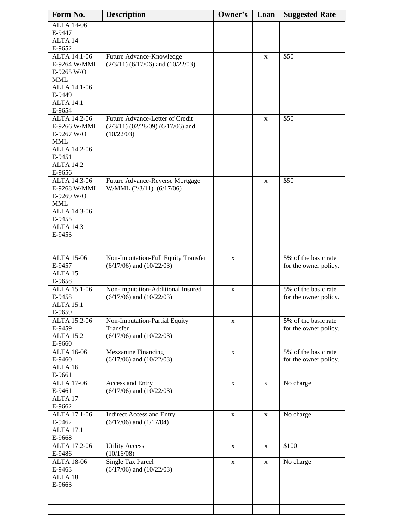| Form No.                     | <b>Description</b>                                                  | Owner's     | Loan        | <b>Suggested Rate</b>                         |
|------------------------------|---------------------------------------------------------------------|-------------|-------------|-----------------------------------------------|
| <b>ALTA 14-06</b>            |                                                                     |             |             |                                               |
| E-9447<br>ALTA 14            |                                                                     |             |             |                                               |
| E-9652                       |                                                                     |             |             |                                               |
| ALTA 14.1-06                 | Future Advance-Knowledge                                            |             | $\mathbf X$ | \$50                                          |
| E-9264 W/MML                 | $(2/3/11)$ (6/17/06) and (10/22/03)                                 |             |             |                                               |
| E-9265 W/O<br><b>MML</b>     |                                                                     |             |             |                                               |
| ALTA 14.1-06                 |                                                                     |             |             |                                               |
| E-9449                       |                                                                     |             |             |                                               |
| <b>ALTA 14.1</b>             |                                                                     |             |             |                                               |
| E-9654<br>ALTA 14.2-06       | Future Advance-Letter of Credit                                     |             | X           | $\overline{$}50$                              |
| E-9266 W/MML                 | $(2/3/11)$ $(02/28/09)$ $(6/17/06)$ and                             |             |             |                                               |
| E-9267 W/O                   | (10/22/03)                                                          |             |             |                                               |
| <b>MML</b>                   |                                                                     |             |             |                                               |
| ALTA 14.2-06<br>E-9451       |                                                                     |             |             |                                               |
| <b>ALTA 14.2</b>             |                                                                     |             |             |                                               |
| E-9656                       |                                                                     |             |             |                                               |
| ALTA 14.3-06                 | Future Advance-Reverse Mortgage                                     |             | X           | \$50                                          |
| E-9268 W/MML<br>$E-9269$ W/O | W/MML (2/3/11) (6/17/06)                                            |             |             |                                               |
| <b>MML</b>                   |                                                                     |             |             |                                               |
| ALTA 14.3-06                 |                                                                     |             |             |                                               |
| E-9455<br><b>ALTA 14.3</b>   |                                                                     |             |             |                                               |
| E-9453                       |                                                                     |             |             |                                               |
|                              |                                                                     |             |             |                                               |
|                              |                                                                     |             |             | 5% of the basic rate                          |
| <b>ALTA 15-06</b><br>E-9457  | Non-Imputation-Full Equity Transfer<br>$(6/17/06)$ and $(10/22/03)$ | X           |             | for the owner policy.                         |
| ALTA <sub>15</sub>           |                                                                     |             |             |                                               |
| E-9658                       |                                                                     |             |             |                                               |
| ALTA 15.1-06<br>E-9458       | Non-Imputation-Additional Insured<br>$(6/17/06)$ and $(10/22/03)$   | X           |             | 5% of the basic rate<br>for the owner policy. |
| <b>ALTA 15.1</b>             |                                                                     |             |             |                                               |
| E-9659                       |                                                                     |             |             |                                               |
| ALTA 15.2-06<br>E-9459       | Non-Imputation-Partial Equity<br>Transfer                           | X           |             | 5% of the basic rate                          |
| <b>ALTA 15.2</b>             | $(6/17/06)$ and $(10/22/03)$                                        |             |             | for the owner policy.                         |
| E-9660                       |                                                                     |             |             |                                               |
| <b>ALTA 16-06</b>            | <b>Mezzanine Financing</b>                                          | $\mathbf X$ |             | 5% of the basic rate                          |
| E-9460<br>ALTA <sub>16</sub> | $(6/17/06)$ and $(10/22/03)$                                        |             |             | for the owner policy.                         |
| E-9661                       |                                                                     |             |             |                                               |
| <b>ALTA 17-06</b>            | Access and Entry                                                    | X           | $\mathbf X$ | No charge                                     |
| E-9461                       | $(6/17/06)$ and $(10/22/03)$                                        |             |             |                                               |
| ALTA <sub>17</sub><br>E-9662 |                                                                     |             |             |                                               |
| ALTA 17.1-06                 | <b>Indirect Access and Entry</b>                                    | X           | X           | No charge                                     |
| E-9462                       | $(6/17/06)$ and $(1/17/04)$                                         |             |             |                                               |
| <b>ALTA 17.1</b><br>E-9668   |                                                                     |             |             |                                               |
| ALTA 17.2-06                 | <b>Utility Access</b>                                               | X           | X           | \$100                                         |
| E-9486                       | (10/16/08)                                                          |             |             |                                               |
| <b>ALTA 18-06</b>            | <b>Single Tax Parcel</b>                                            | X           | X           | No charge                                     |
| E-9463<br>ALTA <sub>18</sub> | $(6/17/06)$ and $(10/22/03)$                                        |             |             |                                               |
| E-9663                       |                                                                     |             |             |                                               |
|                              |                                                                     |             |             |                                               |
|                              |                                                                     |             |             |                                               |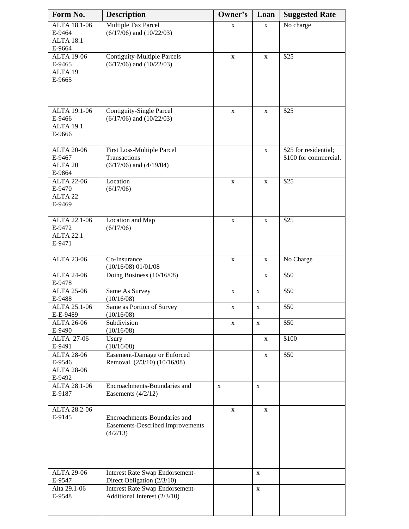| Form No.                                                    | <b>Description</b>                                                           | Owner's      | Loan         | <b>Suggested Rate</b>                          |
|-------------------------------------------------------------|------------------------------------------------------------------------------|--------------|--------------|------------------------------------------------|
| ALTA 18.1-06<br>E-9464<br><b>ALTA 18.1</b><br>E-9664        | Multiple Tax Parcel<br>$(6/17/06)$ and $(10/22/03)$                          | X            | $\mathbf{X}$ | No charge                                      |
| <b>ALTA 19-06</b><br>E-9465<br>ALTA <sub>19</sub><br>E-9665 | <b>Contiguity-Multiple Parcels</b><br>$(6/17/06)$ and $(10/22/03)$           | $\mathbf X$  | $\mathbf X$  | \$25                                           |
| ALTA 19.1-06<br>E-9466<br><b>ALTA 19.1</b><br>E-9666        | <b>Contiguity-Single Parcel</b><br>$(6/17/06)$ and $(10/22/03)$              | $\mathbf X$  | X            | \$25                                           |
| <b>ALTA 20-06</b><br>E-9467<br>ALTA <sub>20</sub><br>E-9864 | First Loss-Multiple Parcel<br>Transactions<br>$(6/17/06)$ and $(4/19/04)$    |              | X            | \$25 for residential;<br>\$100 for commercial. |
| <b>ALTA 22-06</b><br>E-9470<br>ALTA <sub>22</sub><br>E-9469 | Location<br>(6/17/06)                                                        | X            | $\mathbf X$  | \$25                                           |
| ALTA 22.1-06<br>E-9472<br><b>ALTA 22.1</b><br>E-9471        | Location and Map<br>(6/17/06)                                                | $\mathbf X$  | $\mathbf X$  | \$25                                           |
| <b>ALTA 23-06</b>                                           | Co-Insurance<br>(10/16/08) 01/01/08                                          | X            | X            | No Charge                                      |
| <b>ALTA 24-06</b><br>E-9478                                 | Doing Business (10/16/08)                                                    |              | X            | \$50                                           |
| <b>ALTA 25-06</b><br>E-9488                                 | Same As Survey<br>(10/16/08)                                                 | X            | $\mathbf X$  | \$50                                           |
| ALTA 25.1-06<br>E-E-9489                                    | Same as Portion of Survey<br>(10/16/08)                                      | X            | $\mathbf X$  | $\overline{$}50$                               |
| <b>ALTA 26-06</b><br>E-9490                                 | Subdivision<br>(10/16/08)                                                    | X            | $\mathbf X$  | \$50                                           |
| <b>ALTA 27-06</b><br>E-9491                                 | Usury<br>(10/16/08)                                                          |              | X            | \$100                                          |
| <b>ALTA 28-06</b><br>E-9546<br><b>ALTA 28-06</b><br>E-9492  | Easement-Damage or Enforced<br>Removal (2/3/10) (10/16/08)                   |              | X            | \$50                                           |
| ALTA 28.1-06<br>E-9187                                      | Encroachments-Boundaries and<br>Easements $(4/2/12)$                         | $\mathbf{X}$ | $\mathbf{X}$ |                                                |
| ALTA 28.2-06<br>E-9145                                      | Encroachments-Boundaries and<br>Easements-Described Improvements<br>(4/2/13) | $\mathbf X$  | $\mathbf X$  |                                                |
| <b>ALTA 29-06</b><br>E-9547                                 | <b>Interest Rate Swap Endorsement-</b><br>Direct Obligation (2/3/10)         |              | $\mathbf X$  |                                                |
| Alta 29.1-06<br>E-9548                                      | <b>Interest Rate Swap Endorsement-</b><br>Additional Interest (2/3/10)       |              | X            |                                                |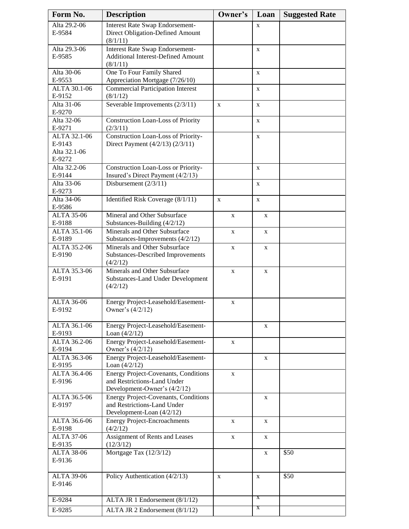| Form No.               | <b>Description</b>                        | Owner's     | Loan         | <b>Suggested Rate</b> |
|------------------------|-------------------------------------------|-------------|--------------|-----------------------|
| Alta 29.2-06           | <b>Interest Rate Swap Endorsement-</b>    |             | X            |                       |
| E-9584                 | Direct Obligation-Defined Amount          |             |              |                       |
|                        | (8/1/11)                                  |             |              |                       |
| Alta 29.3-06           | Interest Rate Swap Endorsement-           |             | $\mathbf{X}$ |                       |
| E-9585                 | <b>Additional Interest-Defined Amount</b> |             |              |                       |
|                        | (8/1/11)                                  |             |              |                       |
| Alta 30-06             | One To Four Family Shared                 |             | $\mathbf X$  |                       |
| E-9553                 | Appreciation Mortgage (7/26/10)           |             |              |                       |
| ALTA 30.1-06           | <b>Commercial Participation Interest</b>  |             | $\mathbf X$  |                       |
| E-9152                 | (8/1/12)                                  |             |              |                       |
| Alta 31-06             | Severable Improvements $(2/3/11)$         | X           | $\mathbf X$  |                       |
| E-9270                 |                                           |             |              |                       |
| Alta 32-06             | Construction Loan-Loss of Priority        |             | X            |                       |
| E-9271                 | (2/3/11)                                  |             |              |                       |
| ALTA 32.1-06<br>E-9143 | Construction Loan-Loss of Priority-       |             | $\mathbf X$  |                       |
| Alta 32.1-06           | Direct Payment (4/2/13) (2/3/11)          |             |              |                       |
| E-9272                 |                                           |             |              |                       |
| Alta 32.2-06           | Construction Loan-Loss or Priority-       |             | $\mathbf X$  |                       |
| E-9144                 | Insured's Direct Payment (4/2/13)         |             |              |                       |
| Alta 33-06             | Disbursement $(2/3/11)$                   |             | $\mathbf X$  |                       |
| E-9273                 |                                           |             |              |                       |
| Alta 34-06             | Identified Risk Coverage (8/1/11)         | X           | $\mathbf X$  |                       |
| E-9586                 |                                           |             |              |                       |
| <b>ALTA 35-06</b>      | Mineral and Other Subsurface              | X           | X            |                       |
| E-9188                 | Substances-Building (4/2/12)              |             |              |                       |
| ALTA 35.1-06           | Minerals and Other Subsurface             | $\mathbf X$ | $\mathbf X$  |                       |
| E-9189                 | Substances-Improvements (4/2/12)          |             |              |                       |
| ALTA 35.2-06           | Minerals and Other Subsurface             | $\mathbf X$ | X            |                       |
| E-9190                 | Substances-Described Improvements         |             |              |                       |
|                        | (4/2/12)                                  |             |              |                       |
| ALTA 35.3-06           | Minerals and Other Subsurface             | $\mathbf X$ | X            |                       |
| E-9191                 | <b>Substances-Land Under Development</b>  |             |              |                       |
|                        | (4/2/12)                                  |             |              |                       |
|                        |                                           |             |              |                       |
| <b>ALTA 36-06</b>      | Energy Project-Leasehold/Easement-        | $\mathbf X$ |              |                       |
| E-9192                 | Owner's $(4/2/12)$                        |             |              |                       |
| ALTA 36.1-06           | Energy Project-Leasehold/Easement-        |             | X            |                       |
| E-9193                 | Loan $(4/2/12)$                           |             |              |                       |
| ALTA 36.2-06           | Energy Project-Leasehold/Easement-        | X           |              |                       |
| E-9194                 | Owner's (4/2/12)                          |             |              |                       |
| ALTA 36.3-06           | Energy Project-Leasehold/Easement-        |             | $\mathbf{X}$ |                       |
| E-9195                 | Loan $(4/2/12)$                           |             |              |                       |
| ALTA 36.4-06           | Energy Project-Covenants, Conditions      | X           |              |                       |
| E-9196                 | and Restrictions-Land Under               |             |              |                       |
|                        | Development-Owner's (4/2/12)              |             |              |                       |
| ALTA 36.5-06           | Energy Project-Covenants, Conditions      |             | X            |                       |
| E-9197                 | and Restrictions-Land Under               |             |              |                       |
|                        | Development-Loan (4/2/12)                 |             |              |                       |
| ALTA 36.6-06           | <b>Energy Project-Encroachments</b>       | X           | X            |                       |
| E-9198                 | (4/2/12)                                  |             |              |                       |
| <b>ALTA 37-06</b>      | Assignment of Rents and Leases            | X           | $\mathbf X$  |                       |
| E-9135                 | (12/3/12)                                 |             |              |                       |
| <b>ALTA 38-06</b>      | Mortgage Tax (12/3/12)                    |             | $\mathbf X$  | \$50                  |
| E-9136                 |                                           |             |              |                       |
| <b>ALTA 39-06</b>      | Policy Authentication (4/2/13)            | $\mathbf X$ | X            | \$50                  |
| E-9146                 |                                           |             |              |                       |
|                        |                                           |             |              |                       |
| E-9284                 | ALTA JR 1 Endorsement (8/1/12)            |             | X            |                       |
| E-9285                 | ALTA JR 2 Endorsement (8/1/12)            |             | X            |                       |
|                        |                                           |             |              |                       |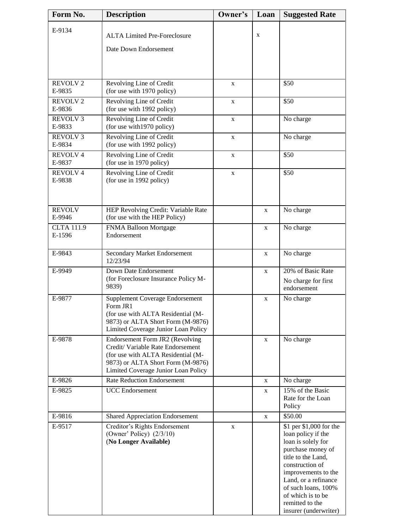| Form No.                    | <b>Description</b>                                                                                                                                                                     | Owner's     | Loan        | <b>Suggested Rate</b>                                                                                                                                                                                                                                                    |
|-----------------------------|----------------------------------------------------------------------------------------------------------------------------------------------------------------------------------------|-------------|-------------|--------------------------------------------------------------------------------------------------------------------------------------------------------------------------------------------------------------------------------------------------------------------------|
| E-9134                      | <b>ALTA Limited Pre-Foreclosure</b><br>Date Down Endorsement                                                                                                                           |             | $\mathbf X$ |                                                                                                                                                                                                                                                                          |
|                             |                                                                                                                                                                                        |             |             |                                                                                                                                                                                                                                                                          |
| <b>REVOLV2</b><br>E-9835    | Revolving Line of Credit<br>(for use with 1970 policy)                                                                                                                                 | $\mathbf X$ |             | \$50                                                                                                                                                                                                                                                                     |
| <b>REVOLV2</b><br>E-9836    | Revolving Line of Credit<br>(for use with 1992 policy)                                                                                                                                 | X           |             | \$50                                                                                                                                                                                                                                                                     |
| <b>REVOLV3</b><br>E-9833    | Revolving Line of Credit<br>(for use with 1970 policy)                                                                                                                                 | $\mathbf X$ |             | No charge                                                                                                                                                                                                                                                                |
| <b>REVOLV3</b><br>E-9834    | Revolving Line of Credit<br>(for use with 1992 policy)                                                                                                                                 | X           |             | No charge                                                                                                                                                                                                                                                                |
| <b>REVOLV4</b><br>E-9837    | Revolving Line of Credit<br>(for use in 1970 policy)                                                                                                                                   | $\mathbf X$ |             | \$50                                                                                                                                                                                                                                                                     |
| <b>REVOLV4</b><br>E-9838    | Revolving Line of Credit<br>(for use in 1992 policy)                                                                                                                                   | X           |             | \$50                                                                                                                                                                                                                                                                     |
| <b>REVOLV</b><br>E-9946     | HEP Revolving Credit: Variable Rate<br>(for use with the HEP Policy)                                                                                                                   |             | X           | No charge                                                                                                                                                                                                                                                                |
| <b>CLTA 111.9</b><br>E-1596 | FNMA Balloon Mortgage<br>Endorsement                                                                                                                                                   |             | X           | No charge                                                                                                                                                                                                                                                                |
| E-9843                      | Secondary Market Endorsement<br>12/23/94                                                                                                                                               |             | X           | No charge                                                                                                                                                                                                                                                                |
| E-9949                      | Down Date Endorsement<br>(for Foreclosure Insurance Policy M-<br>9839)                                                                                                                 |             | X           | 20% of Basic Rate<br>No charge for first<br>endorsement                                                                                                                                                                                                                  |
| E-9877                      | <b>Supplement Coverage Endorsement</b><br>Form JR1<br>(for use with ALTA Residential (M-<br>9873) or ALTA Short Form (M-9876)<br>Limited Coverage Junior Loan Policy                   |             | X           | No charge                                                                                                                                                                                                                                                                |
| E-9878                      | Endorsement Form JR2 (Revolving<br>Credit/ Variable Rate Endorsement<br>(for use with ALTA Residential (M-<br>9873) or ALTA Short Form (M-9876)<br>Limited Coverage Junior Loan Policy |             | X           | No charge                                                                                                                                                                                                                                                                |
| E-9826                      | <b>Rate Reduction Endorsement</b>                                                                                                                                                      |             | X           | No charge                                                                                                                                                                                                                                                                |
| E-9825                      | <b>UCC</b> Endorsement                                                                                                                                                                 |             | X           | 15% of the Basic<br>Rate for the Loan<br>Policy                                                                                                                                                                                                                          |
| E-9816                      | <b>Shared Appreciation Endorsement</b>                                                                                                                                                 |             | $\mathbf X$ | \$50.00                                                                                                                                                                                                                                                                  |
| E-9517                      | Creditor's Rights Endorsement<br>(Owner' Policy) $(2/3/10)$<br>(No Longer Available)                                                                                                   | $\mathbf X$ |             | \$1 per \$1,000 for the<br>loan policy if the<br>loan is solely for<br>purchase money of<br>title to the Land,<br>construction of<br>improvements to the<br>Land, or a refinance<br>of such loans, 100%<br>of which is to be<br>remitted to the<br>insurer (underwriter) |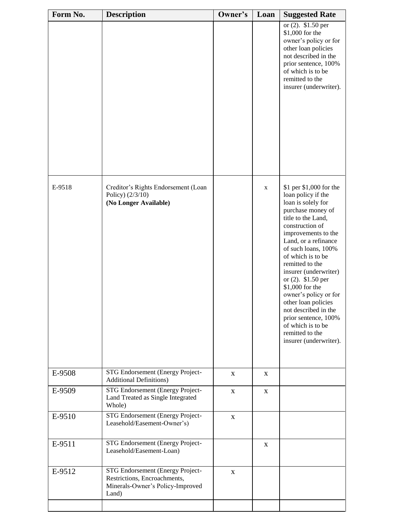| Form No. | <b>Description</b>                                                                                            | Owner's      | Loan        | <b>Suggested Rate</b>                                                                                                                                                                                                                                                                                                                                                                                                                                                                  |
|----------|---------------------------------------------------------------------------------------------------------------|--------------|-------------|----------------------------------------------------------------------------------------------------------------------------------------------------------------------------------------------------------------------------------------------------------------------------------------------------------------------------------------------------------------------------------------------------------------------------------------------------------------------------------------|
|          |                                                                                                               |              |             | or $(2)$ . \$1.50 per<br>\$1,000 for the<br>owner's policy or for<br>other loan policies<br>not described in the<br>prior sentence, 100%<br>of which is to be<br>remitted to the<br>insurer (underwriter).                                                                                                                                                                                                                                                                             |
| E-9518   | Creditor's Rights Endorsement (Loan<br>Policy) (2/3/10)<br>(No Longer Available)                              |              | $\mathbf X$ | \$1 per \$1,000 for the<br>loan policy if the<br>loan is solely for<br>purchase money of<br>title to the Land,<br>construction of<br>improvements to the<br>Land, or a refinance<br>of such loans, 100%<br>of which is to be<br>remitted to the<br>insurer (underwriter)<br>or $(2)$ . \$1.50 per<br>\$1,000 for the<br>owner's policy or for<br>other loan policies<br>not described in the<br>prior sentence, 100%<br>of which is to be<br>remitted to the<br>insurer (underwriter). |
| E-9508   | STG Endorsement (Energy Project-<br><b>Additional Definitions)</b>                                            | X            | X           |                                                                                                                                                                                                                                                                                                                                                                                                                                                                                        |
| E-9509   | STG Endorsement (Energy Project-<br>Land Treated as Single Integrated<br>Whole)                               | $\mathbf X$  | X           |                                                                                                                                                                                                                                                                                                                                                                                                                                                                                        |
| E-9510   | STG Endorsement (Energy Project-<br>Leasehold/Easement-Owner's)                                               | $\mathbf{X}$ |             |                                                                                                                                                                                                                                                                                                                                                                                                                                                                                        |
| E-9511   | STG Endorsement (Energy Project-<br>Leasehold/Easement-Loan)                                                  |              | $\mathbf X$ |                                                                                                                                                                                                                                                                                                                                                                                                                                                                                        |
| E-9512   | STG Endorsement (Energy Project-<br>Restrictions, Encroachments,<br>Minerals-Owner's Policy-Improved<br>Land) | $\mathbf X$  |             |                                                                                                                                                                                                                                                                                                                                                                                                                                                                                        |